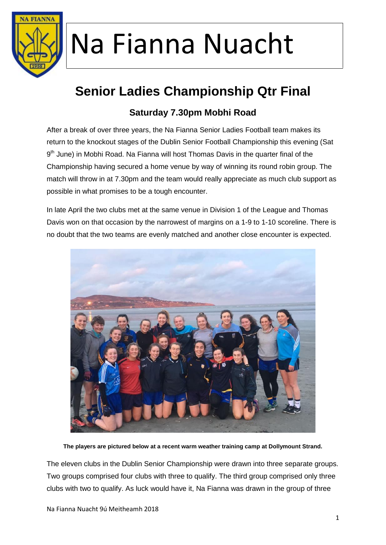

### **Senior Ladies Championship Qtr Final**

#### **Saturday 7.30pm Mobhi Road**

After a break of over three years, the Na Fianna Senior Ladies Football team makes its return to the knockout stages of the Dublin Senior Football Championship this evening (Sat 9<sup>th</sup> June) in Mobhi Road. Na Fianna will host Thomas Davis in the quarter final of the Championship having secured a home venue by way of winning its round robin group. The match will throw in at 7.30pm and the team would really appreciate as much club support as possible in what promises to be a tough encounter.

In late April the two clubs met at the same venue in Division 1 of the League and Thomas Davis won on that occasion by the narrowest of margins on a 1-9 to 1-10 scoreline. There is no doubt that the two teams are evenly matched and another close encounter is expected.



**The players are pictured below at a recent warm weather training camp at Dollymount Strand.**

The eleven clubs in the Dublin Senior Championship were drawn into three separate groups. Two groups comprised four clubs with three to qualify. The third group comprised only three clubs with two to qualify. As luck would have it, Na Fianna was drawn in the group of three

Na Fianna Nuacht 9ú Meitheamh 2018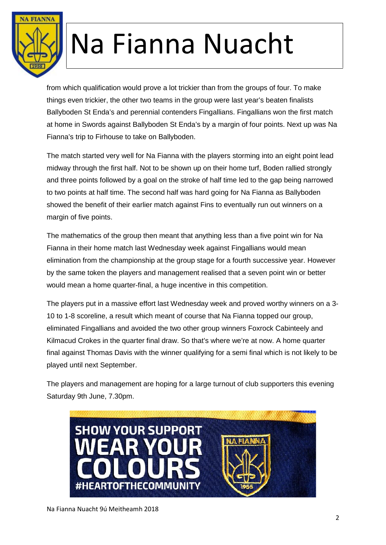

from which qualification would prove a lot trickier than from the groups of four. To make things even trickier, the other two teams in the group were last year's beaten finalists Ballyboden St Enda's and perennial contenders Fingallians. Fingallians won the first match at home in Swords against Ballyboden St Enda's by a margin of four points. Next up was Na Fianna's trip to Firhouse to take on Ballyboden.

The match started very well for Na Fianna with the players storming into an eight point lead midway through the first half. Not to be shown up on their home turf, Boden rallied strongly and three points followed by a goal on the stroke of half time led to the gap being narrowed to two points at half time. The second half was hard going for Na Fianna as Ballyboden showed the benefit of their earlier match against Fins to eventually run out winners on a margin of five points.

The mathematics of the group then meant that anything less than a five point win for Na Fianna in their home match last Wednesday week against Fingallians would mean elimination from the championship at the group stage for a fourth successive year. However by the same token the players and management realised that a seven point win or better would mean a home quarter-final, a huge incentive in this competition.

The players put in a massive effort last Wednesday week and proved worthy winners on a 3- 10 to 1-8 scoreline, a result which meant of course that Na Fianna topped our group, eliminated Fingallians and avoided the two other group winners Foxrock Cabinteely and Kilmacud Crokes in the quarter final draw. So that's where we're at now. A home quarter final against Thomas Davis with the winner qualifying for a semi final which is not likely to be played until next September.

The players and management are hoping for a large turnout of club supporters this evening Saturday 9th June, 7.30pm.

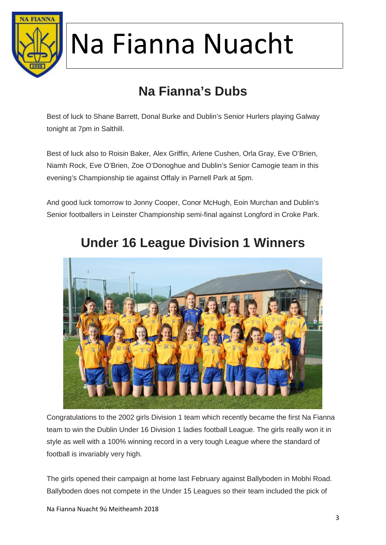

### **Na Fianna's Dubs**

Best of luck to Shane Barrett, Donal Burke and Dublin's Senior Hurlers playing Galway tonight at 7pm in Salthill.

Best of luck also to Roisin Baker, Alex Griffin, Arlene Cushen, Orla Gray, Eve O'Brien, Niamh Rock, Eve O'Brien, Zoe O'Donoghue and Dublin's Senior Camogie team in this evening's Championship tie against Offaly in Parnell Park at 5pm.

And good luck tomorrow to Jonny Cooper, Conor McHugh, Eoin Murchan and Dublin's Senior footballers in Leinster Championship semi-final against Longford in Croke Park.



### **Under 16 League Division 1 Winners**

Congratulations to the 2002 girls Division 1 team which recently became the first Na Fianna team to win the Dublin Under 16 Division 1 ladies football League. The girls really won it in style as well with a 100% winning record in a very tough League where the standard of football is invariably very high.

The girls opened their campaign at home last February against Ballyboden in Mobhi Road. Ballyboden does not compete in the Under 15 Leagues so their team included the pick of

Na Fianna Nuacht 9ú Meitheamh 2018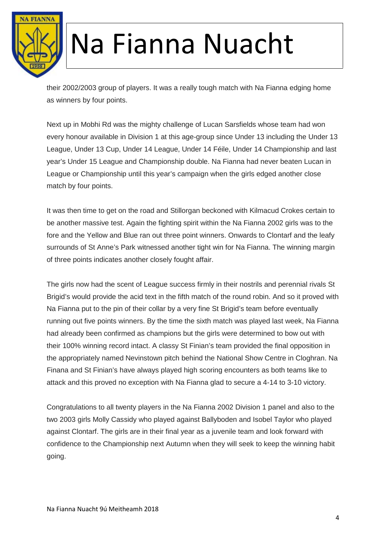

their 2002/2003 group of players. It was a really tough match with Na Fianna edging home as winners by four points.

Next up in Mobhi Rd was the mighty challenge of Lucan Sarsfields whose team had won every honour available in Division 1 at this age-group since Under 13 including the Under 13 League, Under 13 Cup, Under 14 League, Under 14 Féile, Under 14 Championship and last year's Under 15 League and Championship double. Na Fianna had never beaten Lucan in League or Championship until this year's campaign when the girls edged another close match by four points.

It was then time to get on the road and Stillorgan beckoned with Kilmacud Crokes certain to be another massive test. Again the fighting spirit within the Na Fianna 2002 girls was to the fore and the Yellow and Blue ran out three point winners. Onwards to Clontarf and the leafy surrounds of St Anne's Park witnessed another tight win for Na Fianna. The winning margin of three points indicates another closely fought affair.

The girls now had the scent of League success firmly in their nostrils and perennial rivals St Brigid's would provide the acid text in the fifth match of the round robin. And so it proved with Na Fianna put to the pin of their collar by a very fine St Brigid's team before eventually running out five points winners. By the time the sixth match was played last week, Na Fianna had already been confirmed as champions but the girls were determined to bow out with their 100% winning record intact. A classy St Finian's team provided the final opposition in the appropriately named Nevinstown pitch behind the National Show Centre in Cloghran. Na Finana and St Finian's have always played high scoring encounters as both teams like to attack and this proved no exception with Na Fianna glad to secure a 4-14 to 3-10 victory.

Congratulations to all twenty players in the Na Fianna 2002 Division 1 panel and also to the two 2003 girls Molly Cassidy who played against Ballyboden and Isobel Taylor who played against Clontarf. The girls are in their final year as a juvenile team and look forward with confidence to the Championship next Autumn when they will seek to keep the winning habit going.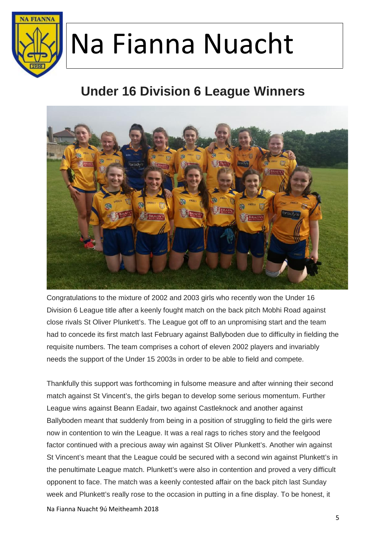

### **Under 16 Division 6 League Winners**



Congratulations to the mixture of 2002 and 2003 girls who recently won the Under 16 Division 6 League title after a keenly fought match on the back pitch Mobhi Road against close rivals St Oliver Plunkett's. The League got off to an unpromising start and the team had to concede its first match last February against Ballyboden due to difficulty in fielding the requisite numbers. The team comprises a cohort of eleven 2002 players and invariably needs the support of the Under 15 2003s in order to be able to field and compete.

Thankfully this support was forthcoming in fulsome measure and after winning their second match against St Vincent's, the girls began to develop some serious momentum. Further League wins against Beann Eadair, two against Castleknock and another against Ballyboden meant that suddenly from being in a position of struggling to field the girls were now in contention to win the League. It was a real rags to riches story and the feelgood factor continued with a precious away win against St Oliver Plunkett's. Another win against St Vincent's meant that the League could be secured with a second win against Plunkett's in the penultimate League match. Plunkett's were also in contention and proved a very difficult opponent to face. The match was a keenly contested affair on the back pitch last Sunday week and Plunkett's really rose to the occasion in putting in a fine display. To be honest, it

Na Fianna Nuacht 9ú Meitheamh 2018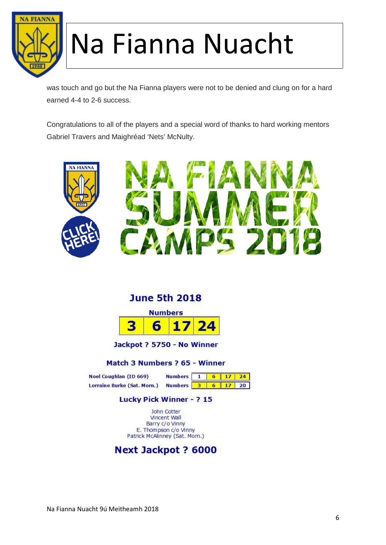

was touch and go but the Na Fianna players were not to be denied and clung on for a hard earned 4-4 to 2-6 success.

Congratulations to all of the players and a special word of thanks to hard working mentors Gabriel Travers and Maighréad 'Nets' McNulty.



#### **June 5th 2018**



Jackpot ? 5750 - No Winner

#### Match 3 Numbers ? 65 - Winner

| Noel Coughlan (ID 669)                        | Numbers 1 6 17 24 |  |  |
|-----------------------------------------------|-------------------|--|--|
| Lorraine Burke (Sat. Morn.) Numbers 3 6 17 20 |                   |  |  |

#### **Lucky Pick Winner - ? 15**

John Cotter **Vincent Wall** Barry c/o Vinny E. Thompson c/o Vinny Patrick McAlinney (Sat. Mom.)

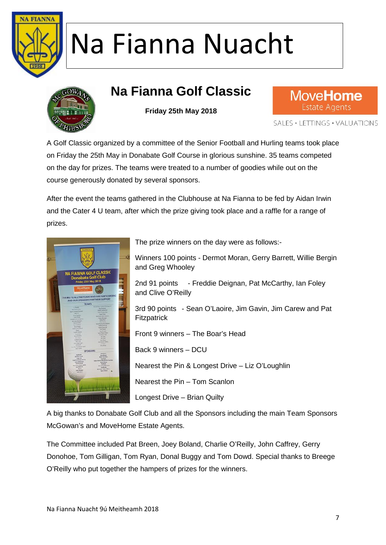



### **Friday 25th May 2018**



SALES . LETTINGS . VALUATIONS

A Golf Classic organized by a committee of the Senior Football and Hurling teams took place on Friday the 25th May in Donabate Golf Course in glorious sunshine. 35 teams competed on the day for prizes. The teams were treated to a number of goodies while out on the course generously donated by several sponsors.

After the event the teams gathered in the Clubhouse at Na Fianna to be fed by Aidan Irwin and the Cater 4 U team, after which the prize giving took place and a raffle for a range of prizes.



The prize winners on the day were as follows:-

Winners 100 points - Dermot Moran, Gerry Barrett, Willie Bergin and Greg Whooley

2nd 91 points - Freddie Deignan, Pat McCarthy, Ian Foley and Clive O'Reilly

3rd 90 points - Sean O'Laoire, Jim Gavin, Jim Carew and Pat **Fitzpatrick** 

Front 9 winners – The Boar's Head

Back 9 winners – DCU

Nearest the Pin & Longest Drive – Liz O'Loughlin

Nearest the Pin – Tom Scanlon

Longest Drive – Brian Quilty

A big thanks to Donabate Golf Club and all the Sponsors including the main Team Sponsors McGowan's and MoveHome Estate Agents.

The Committee included Pat Breen, Joey Boland, Charlie O'Reilly, John Caffrey, Gerry Donohoe, Tom Gilligan, Tom Ryan, Donal Buggy and Tom Dowd. Special thanks to Breege O'Reilly who put together the hampers of prizes for the winners.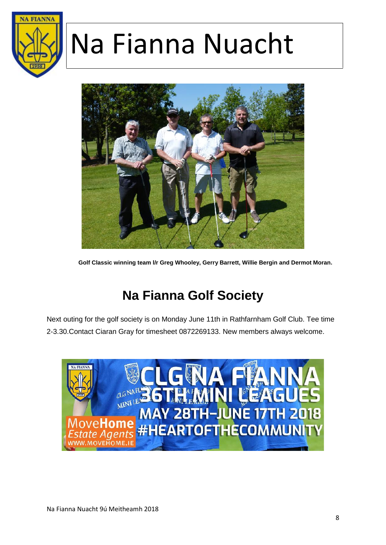



**Golf Classic winning team l/r Greg Whooley, Gerry Barrett, Willie Bergin and Dermot Moran.**

### **Na Fianna Golf Society**

Next outing for the golf society is on Monday June 11th in Rathfarnham Golf Club. Tee time 2-3.30.Contact Ciaran Gray for timesheet 0872269133. New members always welcome.

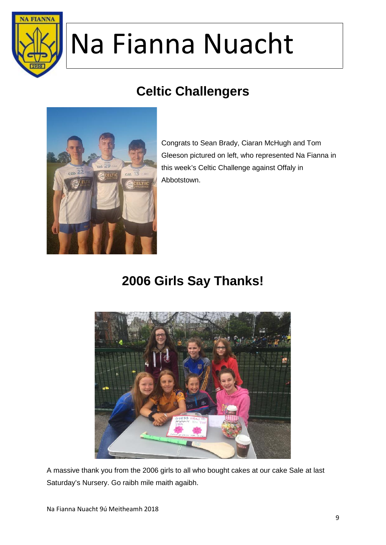

### **Celtic Challengers**



Congrats to Sean Brady, Ciaran McHugh and Tom Gleeson pictured on left, who represented Na Fianna in this week's Celtic Challenge against Offaly in Abbotstown.

### **2006 Girls Say Thanks!**



A massive thank you from the 2006 girls to all who bought cakes at our cake Sale at last Saturday's Nursery. Go raibh mile maith agaibh.